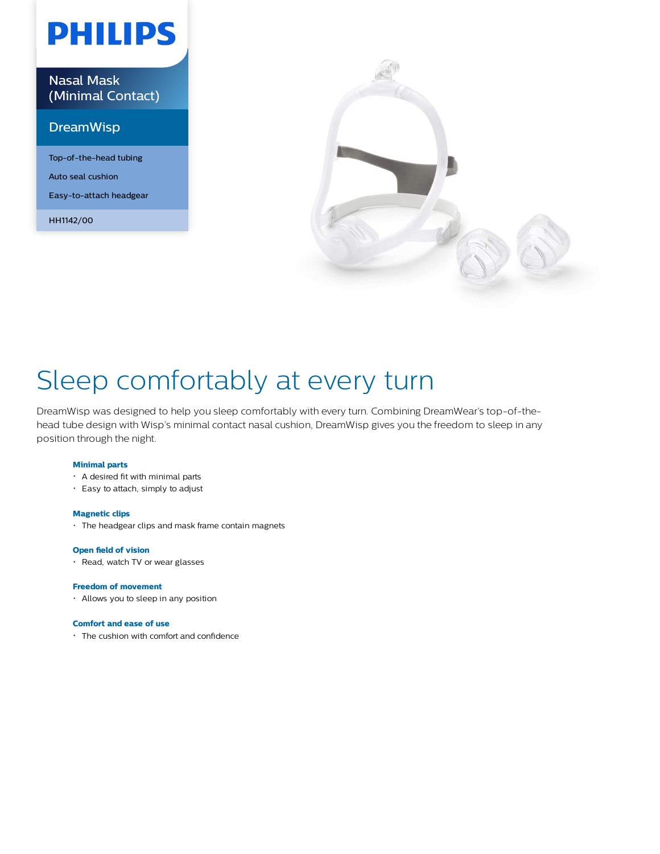# **PHILIPS**

Nasal Mask (Minimal Contact)

### DreamWisp

Top-of-the-head tubing Auto seal cushion Easy-to-attach headgear

HH1142/00



## Sleep comfortably at every turn

DreamWisp was designed to help you sleep comfortably with every turn. Combining DreamWear's top-of-thehead tube design with Wisp's minimal contact nasal cushion, DreamWisp gives you the freedom to sleep in any position through the night.

### **Minimal parts**

- A desired fit with minimal parts
- Easy to attach, simply to adjust

#### **Magnetic clips**

The headgear clips and mask frame contain magnets

#### **Open field of vision**

• Read, watch TV or wear glasses

### **Freedom of movement**

Allows you to sleep in any position

#### **Comfort and ease of use**

The cushion with comfort and confidence